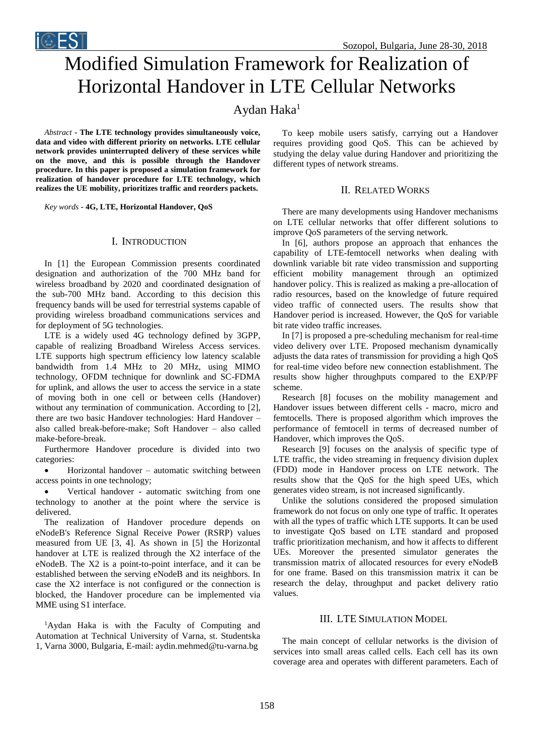

# Modified Simulation Framework for Realization of Horizontal Handover in LTE Cellular Networks

# Aydan Haka<sup>1</sup>

*Abstract* **- The LTE technology provides simultaneously voice, data and video with different priority on networks. LTE cellular network provides uninterrupted delivery of these services while on the move, and this is possible through the Handover procedure. In this paper is proposed a simulation framework for realization of handover procedure for LTE technology, which realizes the UE mobility, prioritizes traffic and reorders packets.**

*Key words* **- 4G, LTE, Horizontal Handover, QoS**

#### I. INTRODUCTION

In [1] the European Commission presents coordinated designation and authorization of the 700 MHz band for wireless broadband by 2020 and coordinated designation of the sub-700 MHz band. According to this decision this frequency bands will be used for terrestrial systems capable of providing wireless broadband communications services and for deployment of 5G technologies.

LTE is a widely used 4G technology defined by 3GPP, capable of realizing Broadband Wireless Access services. LTE supports high spectrum efficiency low latency scalable bandwidth from 1.4 MHz to 20 MHz, using MIMO technology, OFDM technique for downlink and SC-FDMA for uplink, and allows the user to access the service in a state of moving both in one cell or between cells (Handover) without any termination of communication. According to [2], there are two basic Handover technologies: Hard Handover – also called break-before-make; Soft Handover – also called make-before-break.

Furthermore Handover procedure is divided into two categories:

• Horizontal handover – automatic switching between access points in one technology;

 Vertical handover - automatic switching from one technology to another at the point where the service is delivered.

The realization of Handover procedure depends on eNodeB's Reference Signal Receive Power (RSRP) values measured from UE [3, 4]. As shown in [5] the Horizontal handover at LTE is realized through the X2 interface of the eNodeB. The X2 is a point-to-point interface, and it can be established between the serving eNodeB and its neighbors. In case the X2 interface is not configured or the connection is blocked, the Handover procedure can be implemented via MME using S1 interface.

<sup>1</sup>Aydan Haka is with the Faculty of Computing and Automation at Technical University of Varna, st. Studentska 1, Varna 3000, Bulgaria, E-mail: aydin.mehmed@tu-varna.bg

To keep mobile users satisfy, carrying out a Handover requires providing good QoS. This can be achieved by studying the delay value during Handover and prioritizing the different types of network streams.

#### II. RELATED WORKS

There are many developments using Handover mechanisms on LTE cellular networks that offer different solutions to improve QoS parameters of the serving network.

In [6], authors propose an approach that enhances the capability of LTE-femtocell networks when dealing with downlink variable bit rate video transmission and supporting efficient mobility management through an optimized handover policy. This is realized as making a pre-allocation of radio resources, based on the knowledge of future required video traffic of connected users. The results show that Handover period is increased. However, the QoS for variable bit rate video traffic increases.

In [7] is proposed a pre-scheduling mechanism for real-time video delivery over LTE. Proposed mechanism dynamically adjusts the data rates of transmission for providing a high QoS for real-time video before new connection establishment. The results show higher throughputs compared to the EXP/PF scheme.

Research [8] focuses on the mobility management and Handover issues between different cells - macro, micro and femtocells. There is proposed algorithm which improves the performance of femtocell in terms of decreased number of Handover, which improves the QoS.

Research [9] focuses on the analysis of specific type of LTE traffic, the video streaming in frequency division duplex (FDD) mode in Handover process on LTE network. The results show that the QoS for the high speed UEs, which generates video stream, is not increased significantly.

Unlike the solutions considered the proposed simulation framework do not focus on only one type of traffic. It operates with all the types of traffic which LTE supports. It can be used to investigate QoS based on LTE standard and proposed traffic prioritization mechanism, and how it affects to different UEs. Moreover the presented simulator generates the transmission matrix of allocated resources for every eNodeB for one frame. Based on this transmission matrix it can be research the delay, throughput and packet delivery ratio values.

#### III. LTE SIMULATION MODEL

The main concept of cellular networks is the division of services into small areas called cells. Each cell has its own coverage area and operates with different parameters. Each of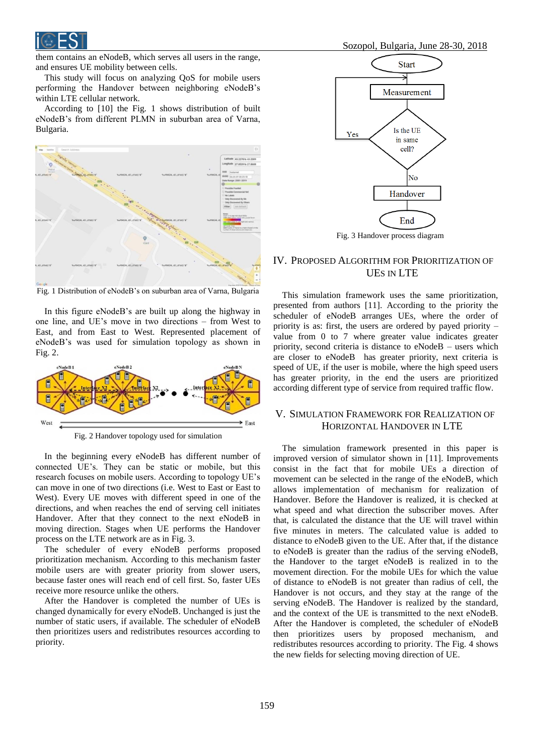

them contains an eNodeB, which serves all users in the range, and ensures UE mobility between cells.

This study will focus on analyzing QoS for mobile users performing the Handover between neighboring eNodeB's within LTE cellular network.

According to [10] the Fig. 1 shows distribution of built eNodeB's from different PLMN in suburban area of Varna, Bulgaria.



Fig. 1 Distribution of eNodeB's on suburban area of Varna, Bulgaria

In this figure eNodeB's are built up along the highway in one line, and UE's move in two directions – from West to East, and from East to West. Represented placement of eNodeB's was used for simulation topology as shown in Fig. 2.



Fig. 2 Handover topology used for simulation

In the beginning every eNodeB has different number of connected UE's. They can be static or mobile, but this research focuses on mobile users. According to topology UE's can move in one of two directions (i.e. West to East or East to West). Every UE moves with different speed in one of the directions, and when reaches the end of serving cell initiates Handover. After that they connect to the next eNodeB in moving direction. Stages when UE performs the Handover process on the LTE network are as in Fig. 3.

The scheduler of every eNodeB performs proposed prioritization mechanism. According to this mechanism faster mobile users are with greater priority from slower users, because faster ones will reach end of cell first. So, faster UEs receive more resource unlike the others.

After the Handover is completed the number of UEs is changed dynamically for every eNodeB. Unchanged is just the number of static users, if available. The scheduler of eNodeB then prioritizes users and redistributes resources according to priority.



Fig. 3 Handover process diagram

# IV. PROPOSED ALGORITHM FOR PRIORITIZATION OF UES IN LTE

This simulation framework uses the same prioritization, presented from authors [11]. According to the priority the scheduler of eNodeB arranges UEs, where the order of priority is as: first, the users are ordered by payed priority – value from 0 to 7 where greater value indicates greater priority, second criteria is distance to eNodeB – users which are closer to eNodeB has greater priority, next criteria is speed of UE, if the user is mobile, where the high speed users has greater priority, in the end the users are prioritized according different type of service from required traffic flow.

#### V. SIMULATION FRAMEWORK FOR REALIZATION OF HORIZONTAL HANDOVER IN LTE

The simulation framework presented in this paper is improved version of simulator shown in [11]. Improvements consist in the fact that for mobile UEs a direction of movement can be selected in the range of the eNodeB, which allows implementation of mechanism for realization of Handover. Before the Handover is realized, it is checked at what speed and what direction the subscriber moves. After that, is calculated the distance that the UE will travel within five minutes in meters. The calculated value is added to distance to eNodeB given to the UE. After that, if the distance to eNodeB is greater than the radius of the serving eNodeB, the Handover to the target eNodeB is realized in to the movement direction. For the mobile UEs for which the value of distance to eNodeB is not greater than radius of cell, the Handover is not occurs, and they stay at the range of the serving eNodeB. The Handover is realized by the standard, and the context of the UE is transmitted to the next eNodeB. After the Handover is completed, the scheduler of eNodeB then prioritizes users by proposed mechanism, and redistributes resources according to priority. The Fig. 4 shows the new fields for selecting moving direction of UE.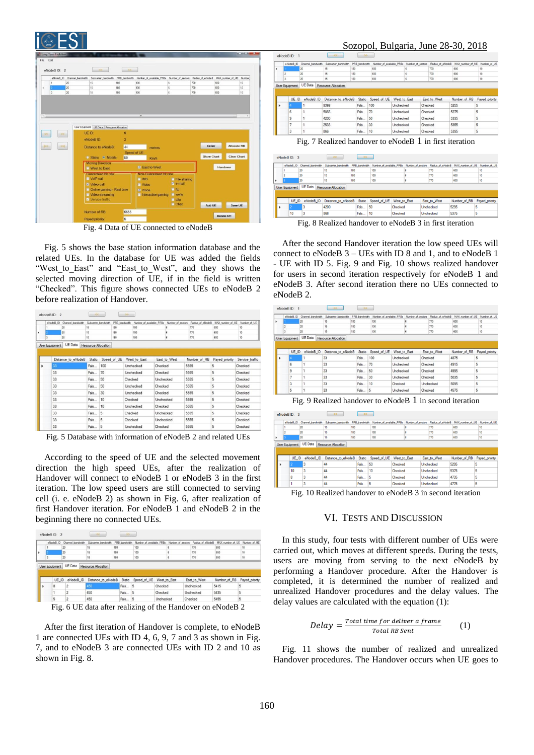| File Edit                        | <b>C</b> , Long Term Evolution |    |                                                          |                   |                                                                           |                              |                   |                         | $\mathbb{R}$ and $\mathbb{R}$ and $\mathbb{R}$ |
|----------------------------------|--------------------------------|----|----------------------------------------------------------|-------------------|---------------------------------------------------------------------------|------------------------------|-------------------|-------------------------|------------------------------------------------|
|                                  | eNodeBID: 2                    |    | <                                                        | 55%               |                                                                           |                              |                   |                         |                                                |
|                                  |                                |    | eNodeB ID Channel bandwidth Subcarrier bandwidth         |                   | PRB bandwidth Number of available PRBs Number of sectors Radius of eNodeB |                              |                   | MAX number of UE Number |                                                |
|                                  | $\mathbf{1}$                   | 20 | 15                                                       | 180               | 100                                                                       | <b>G</b>                     | 770               | 600                     | 10                                             |
| ٠                                |                                | 20 | 15                                                       | 180               | 100                                                                       | $\overline{6}$               | 770               | 600                     | 10                                             |
|                                  | $\overline{3}$                 | 20 | 15                                                       | 180               | 100                                                                       | <sub>5</sub>                 | 770               | 600                     | 10                                             |
|                                  | >2                             |    | User Equipment   UE Data   Resource Allocation<br>UE ID: | $\mathbf{Q}$      |                                                                           |                              |                   |                         |                                                |
|                                  |                                |    | eNodeB ID:                                               | $\overline{2}$    |                                                                           |                              |                   |                         |                                                |
|                                  | >1                             |    | <b>Distance to eNodeB</b>                                | 44                | metres                                                                    |                              | Order             | <b>Allocate RB</b>      |                                                |
|                                  |                                |    | Static <sup>o</sup> Mobile                               | Speed of UE<br>50 |                                                                           |                              | <b>Show Chart</b> | <b>Clear Chart</b>      |                                                |
|                                  |                                |    | Moving Direction                                         |                   | <b>Km/h</b><br>V East to West                                             |                              |                   | Handover                |                                                |
| $\epsilon$<br>$rac{1}{2}$<br> cc |                                |    | West to East<br>Guaranteed bit rate<br>VolP call         |                   | Non-Guaranteed bit rate<br><b>IMS</b>                                     | File sharing<br>$\nu$ e-mail |                   |                         |                                                |
|                                  |                                |    | V Video call<br>Conline gaming - Real time               |                   | <b>Video</b><br>V Voice                                                   | <b>E</b> ftp                 |                   |                         |                                                |
|                                  |                                |    | Video streaming                                          |                   | Interactive gaming                                                        | <b>TWWW</b>                  |                   |                         |                                                |
|                                  |                                |    | V Service traffic                                        |                   |                                                                           | $\n  p2p\n$                  |                   |                         |                                                |

Fig. 4 Data of UE connected to eNodeB

Fig. 5 shows the base station information database and the related UEs. In the database for UE was added the fields "West to East" and "East to West", and they shows the selected moving direction of UE, if in the field is written "Checked". This figure shows connected UEs to eNodeB 2 before realization of Handover.

|   | eNodeB_ID      | Channel bandwidth  | Subcamer bandwidth  |     | PRB bandwidth | Number of available PRBs |           | Number of sectors | Radius of eNodeB | MAX number of UE | Number of UE    |
|---|----------------|--------------------|---------------------|-----|---------------|--------------------------|-----------|-------------------|------------------|------------------|-----------------|
|   |                | 20                 | 15                  |     | 180           | 100                      |           | 6                 | 770              | 600              | 10              |
|   |                | 20                 | 15                  |     | 180           | 100                      |           | s                 | 770              | 600              | 10              |
|   | $\mathbf{a}$   | 20                 | 15                  |     | 180           | 100                      |           | Ġ                 | 770              | 600              | 10              |
|   | User Equipment | <b>UE</b> Data     | Resource Allocation |     |               |                          |           |                   |                  |                  |                 |
|   |                |                    |                     |     |               |                          |           |                   |                  |                  |                 |
|   |                | Distance to eNodeB | Static              |     | Speed of UE   | West to East             |           | East to West      | Number of RB     | Payed_priority   | Service traffic |
| ь | 33             |                    | Fals                | 100 |               | Unchecked                | Checked   |                   | 5555             | 5                | Checked         |
|   | 33             |                    | Fals                | 70  |               | Unchecked                | Checked   |                   | 5555             | 5                | Checked         |
|   | 33             |                    | Fals                | 50  |               | Checked                  | Unchecked |                   | 5555             | 5                | Checked         |
|   | 33             |                    | Fals                | 50  |               | Unchecked                | Checked   |                   | 5555             | 5                | Checked         |
|   | 33             |                    | Fals                | 30  |               | Unchecked                | Checked   |                   | 5555             | 5                | Checked         |
|   | 33             |                    | Fals                | 10  |               | Checked                  | Unchecked |                   | 5555             | 5                | Checked         |
|   | 33             |                    | Fals                | 10  |               | Unchecked                | Checked   |                   | 5555             | 5                | Checked         |
|   | 33             |                    | Fals                | 5   |               | Checked                  | Unchecked |                   | 5555             | 5                | Checked         |
|   | 33             |                    | Fals                | 5   |               | Checked                  | Unchecked |                   | 5555             | 5                | Checked         |
|   |                |                    |                     |     |               |                          |           |                   |                  |                  |                 |

Fig. 5 Database with information of eNodeB 2 and related UEs

According to the speed of UE and the selected movement direction the high speed UEs, after the realization of Handover will connect to eNodeB 1 or eNodeB 3 in the first iteration. The low speed users are still connected to serving cell (i. e. eNodeB 2) as shown in Fig. 6, after realization of first Handover iteration. For eNodeB 1 and eNodeB 2 in the beginning there no connected UEs.

|   | eNodeB ID      | Channel bandwidth | Subcamer bandwidth | PRB bandwidth | Number of available PRBs | Number of sectors | Radius of eNodeB | MAX number of UE | Number of UE        |
|---|----------------|-------------------|--------------------|---------------|--------------------------|-------------------|------------------|------------------|---------------------|
|   |                | 20                | 15                 | 180           | 100                      |                   | 770              | 600              | 10                  |
| ٠ |                | 20                | 15                 | 180           | 770<br>100               |                   |                  | 600              | 10                  |
|   |                | 20                | 15                 | 180           | 100                      | 6                 | 770              | 600              | 10                  |
|   | User Equipment | UE Data           | Resource Alocation |               |                          |                   |                  |                  |                     |
|   | UE ID          | eNodeB ID         | Distance to eNodeB | Static        | Speed of UE              | West to East      | East to West     | Number of RB     |                     |
|   | 8              |                   | 450                | Fals          | 15<br>Checked            |                   | Unchecked        | 5415             | 5                   |
|   |                |                   | 450                | Fals          | 15                       | Checked           | Unchecked        | 5435             | Payed priority<br>5 |

Fig. 6 UE data after realizing of the Handover on eNodeB 2

After the first iteration of Handover is complete, to eNodeB 1 are connected UEs with ID 4, 6, 9, 7 and 3 as shown in Fig. 7, and to eNodeB 3 are connected UEs with ID 2 and 10 as shown in Fig. 8.

## Sozopol, Bulgaria, June 28-30, 2018

|   | eNodeB_ID             | Channel bandwidth | Subcarrier bandwidth                                      | PRB_bandwidth | Number of available PRBs |                      | Number of sectors | Radius of eNodeB | MAX_number_of_UE | Number of UE   |
|---|-----------------------|-------------------|-----------------------------------------------------------|---------------|--------------------------|----------------------|-------------------|------------------|------------------|----------------|
| ٠ |                       | 20                | 15                                                        | 180           | 100                      |                      |                   | 770              | 600              | 10             |
|   |                       | 20                | 15                                                        | 180           | 100                      |                      |                   | 770              | 600              | 10             |
|   | 20                    |                   | 15                                                        | 180           | 100                      |                      |                   | 770              | 600              | 10             |
|   | <b>User Equipment</b> | UE Data           | Resource Allocation                                       |               |                          |                      |                   |                  |                  |                |
|   |                       |                   |                                                           |               |                          |                      |                   |                  |                  |                |
|   | UE ID                 | eNodeB ID         | Distance to eNodeB                                        | Static        | Speed of UE              | West to East         |                   | East_to_West     | Number of RB     | Payed priority |
|   |                       |                   | 8366                                                      | Fals          | 100                      | Unchecked            | Checked           |                  | 5255             | 5              |
|   | 6                     |                   | 5866                                                      | Fals          | 70                       | Unchecked            | Checked           |                  | 5275             | 5              |
|   | 9                     |                   | 4200                                                      | Fals          | 50                       | Unchecked<br>Checked |                   |                  | 5335             | 5              |
|   |                       |                   | 2533                                                      | Fals          | 30                       | Unchecked            | Checked           |                  | 5355             | 5              |
|   | 3                     |                   | 866                                                       | Fals          | 10                       | Unchecked            | Checked           |                  | 5395             | 5              |
|   |                       |                   |                                                           |               |                          |                      |                   |                  |                  |                |
|   |                       |                   | Fig. 7 Realized handover to eNodeB $1$ in first iteration |               |                          |                      |                   |                  |                  |                |
|   |                       |                   |                                                           |               |                          |                      |                   |                  |                  |                |

|  |                       | eNodeB_ID Channel_bandwidth |  | Subcamer_bandwidth                    | PRB bandwidth |            | Number of available PRBs Number of sectors |              |           |              | Radius of eNodeB |              | MAX_number_of_UE Number_of_UE |
|--|-----------------------|-----------------------------|--|---------------------------------------|---------------|------------|--------------------------------------------|--------------|-----------|--------------|------------------|--------------|-------------------------------|
|  |                       | 20                          |  | 15                                    | 180           |            | 100                                        |              |           | 770          |                  | 600          | 10                            |
|  |                       | 20                          |  | 15                                    | 180           |            | 100                                        |              |           |              | 770              | 600          | 10                            |
|  |                       | 20                          |  | 15                                    | 180           |            | 100                                        |              |           | 770          |                  | 600          | 10                            |
|  | <b>User Equipment</b> | <b>UE</b> Data              |  | Resource Allocation                   |               |            |                                            |              |           |              |                  |              |                               |
|  |                       |                             |  |                                       |               |            |                                            |              |           |              |                  |              |                               |
|  | UE ID                 | eNodeB_ID                   |  | Distance to eNodeB Static Speed of UE |               |            |                                            | West to East |           | East to West |                  | Number of RB | Payed priority                |
|  |                       |                             |  | 4200                                  |               | 50<br>Fals |                                            | Checked      |           | Unchecked    |                  | 5295         |                               |
|  | 10                    |                             |  | 866                                   |               | 10<br>Fals |                                            | Checked      | Unchecked |              |                  | 5375         | 5                             |

Fig. 8 Realized handover to eNodeB 3 in first iteration

After the second Handover iteration the low speed UEs will connect to eNodeB 3 – UEs with ID 8 and 1, and to eNodeB 1 - UE with ID 5. Fig. 9 and Fig. 10 shows realized handover for users in second iteration respectively for eNodeB 1 and eNodeB 3. After second iteration there no UEs connected to eNodeB 2.

|   |                       | eNodeB ID Channel bandwidth | Subcarrier bandwidth | PRB bandwidth | Number of available PRBs |                  | Number of sectors | Radius of eNodeB | MAX number of UE Number of UE |                     |
|---|-----------------------|-----------------------------|----------------------|---------------|--------------------------|------------------|-------------------|------------------|-------------------------------|---------------------|
| ¥ |                       | 20                          | 15                   | 180           | 100                      | 6                |                   | 770              | 600                           | 10                  |
|   |                       | 20                          | 15                   | 180           | 100                      | 6                |                   | 770<br>770       | 600                           | 10                  |
|   | 3                     | 20                          | 15                   | 180           | 100                      | 6                |                   |                  | 600                           | 10                  |
|   | <b>User Equipment</b> | UE Data                     | Resource Allocation  |               |                          |                  |                   |                  |                               |                     |
|   |                       |                             |                      |               |                          |                  |                   |                  |                               |                     |
|   |                       |                             |                      |               |                          |                  |                   |                  |                               |                     |
|   | UE ID                 | eNodeB ID                   | Distance_to_eNodeB   |               | Static Speed of UE       | West to East     |                   | East_to_West     | Number of RB                  |                     |
| ٠ |                       |                             | 33                   | Fals          | 100                      | <b>Unchecked</b> | Checked           |                  | 4875                          | 5                   |
|   | 6                     |                             | 33                   | Fals          | 70                       | Unchecked        | Checked           |                  | 4915                          | 5                   |
|   | 9                     |                             | 33                   | Fals          | 50                       | Unchecked        | Checked           |                  | 4995                          | 5                   |
|   | $\overline{ }$        |                             | 33                   | Fals          | 30                       | Unchecked        | Checked           |                  | 5035                          | 5                   |
|   | 3                     |                             | 33                   | Fals          | 10                       | Checked          |                   | Unchecked        | 5095                          | Payed priority<br>5 |

Fig. 9 Realized handover to eNodeB 1 in second iteration

|  | eNodeBID: 3           |                             | <<                                              | $\rightarrow$ |                          |              |                   |                  |                               |                |
|--|-----------------------|-----------------------------|-------------------------------------------------|---------------|--------------------------|--------------|-------------------|------------------|-------------------------------|----------------|
|  |                       | eNodeB_ID Channel bandwidth | Subcarrier bandwidth                            | PRB bandwidth | Number of available PRBs |              | Number of sectors | Radius of eNodeB | MAX number of UE Number of UE |                |
|  | 20<br>15              |                             |                                                 | 180           | 100                      |              |                   | 770              | 600                           | 10             |
|  | 20<br>15              |                             |                                                 | 180           | 100                      |              |                   | 770              | 600                           | 10             |
|  |                       | 20                          | 15                                              | 180           | 100                      |              |                   | 770              | 600                           | 10             |
|  | <b>User Equipment</b> | <b>UE Data</b>              | Resource Allocation                             |               |                          |              |                   |                  |                               |                |
|  |                       |                             |                                                 |               |                          |              |                   |                  |                               |                |
|  | UE ID                 |                             | eNodeB ID Distance to eNodeB Static Speed of UE |               |                          | West to East |                   | East to West     | Number of RB                  | Payed priority |
|  |                       |                             | 44                                              | Fals          | 50                       | Checked      |                   | Unchecked        | 5295                          | 5              |
|  | 10                    | 3                           | 44                                              | Fals          | 10                       | Checked      |                   | Unchecked        | 5375                          | 5              |
|  | 8                     | 3                           | 44                                              | Fals          | 5                        | Checked      |                   | Unchecked        | 4735                          | 5              |
|  |                       |                             | 44                                              | Fals          | $\sqrt{5}$               | Checked      |                   | Unchecked        | 4775                          |                |

Fig. 10 Realized handover to eNodeB 3 in second iteration

#### VI. TESTS AND DISCUSSION

In this study, four tests with different number of UEs were carried out, which moves at different speeds. During the tests, users are moving from serving to the next eNodeB by performing a Handover procedure. After the Handover is completed, it is determined the number of realized and unrealized Handover procedures and the delay values. The delay values are calculated with the equation (1):

$$
Delay = \frac{Total\ time\ for\ deliver\ a\ frame}{Total\ RB\ Sent}
$$
 (1)

Fig. 11 shows the number of realized and unrealized Handover procedures. The Handover occurs when UE goes to